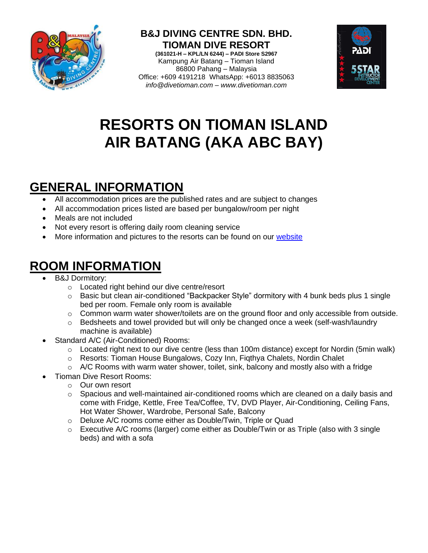

**B&J DIVING CENTRE SDN. BHD. TIOMAN DIVE RESORT (361021-H – KPL/LN 6244) – PADI Store S2967** Kampung Air Batang – Tioman Island 86800 Pahang – Malaysia Office: +609 4191218 WhatsApp: +6013 8835063 *info@divetioman.com – www.divetioman.com*



# **RESORTS ON TIOMAN ISLAND AIR BATANG (AKA ABC BAY)**

## **GENERAL INFORMATION**

- All accommodation prices are the published rates and are subject to changes
- All accommodation prices listed are based per bungalow/room per night
- Meals are not included
- Not every resort is offering daily room cleaning service
- More information and pictures to the resorts can be found on our [website](http://www.divetioman.com/tioman_accommodation.html)

## **ROOM INFORMATION**

- B&J Dormitory:
	- o Located right behind our dive centre/resort
	- o Basic but clean air-conditioned "Backpacker Style" dormitory with 4 bunk beds plus 1 single bed per room. Female only room is available
	- o Common warm water shower/toilets are on the ground floor and only accessible from outside.
	- o Bedsheets and towel provided but will only be changed once a week (self-wash/laundry machine is available)
- Standard A/C (Air-Conditioned) Rooms:
	- o Located right next to our dive centre (less than 100m distance) except for Nordin (5min walk)
	- o Resorts: Tioman House Bungalows, Cozy Inn, Fiqthya Chalets, Nordin Chalet
	- $\circ$  A/C Rooms with warm water shower, toilet, sink, balcony and mostly also with a fridge
- Tioman Dive Resort Rooms:
	- o Our own resort
	- $\circ$  Spacious and well-maintained air-conditioned rooms which are cleaned on a daily basis and come with Fridge, Kettle, Free Tea/Coffee, TV, DVD Player, Air-Conditioning, Ceiling Fans, Hot Water Shower, Wardrobe, Personal Safe, Balcony
	- o Deluxe A/C rooms come either as Double/Twin, Triple or Quad
	- $\circ$  Executive A/C rooms (larger) come either as Double/Twin or as Triple (also with 3 single beds) and with a sofa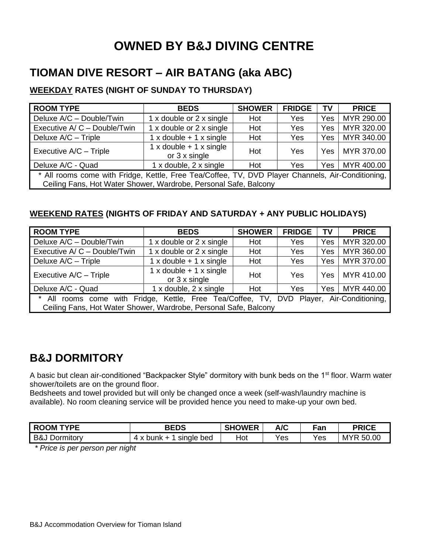## **OWNED BY B&J DIVING CENTRE**

### **TIOMAN DIVE RESORT – AIR BATANG (aka ABC)**

#### **WEEKDAY RATES (NIGHT OF SUNDAY TO THURSDAY)**

| <b>ROOM TYPE</b>                                                                                                                                                      | <b>BEDS</b>                                                   | <b>SHOWER</b> | <b>FRIDGE</b> | <b>TV</b> | <b>PRICE</b> |  |
|-----------------------------------------------------------------------------------------------------------------------------------------------------------------------|---------------------------------------------------------------|---------------|---------------|-----------|--------------|--|
| Deluxe A/C - Double/Twin                                                                                                                                              | 1 x double or 2 x single                                      | Hot           | <b>Yes</b>    | Yes       | MYR 290.00   |  |
| Executive A/ C - Double/Twin                                                                                                                                          | 1 x double or 2 x single                                      | Hot           | Yes           | Yes       | MYR 320.00   |  |
| Deluxe A/C - Triple                                                                                                                                                   | $1 \times$ double + $1 \times$ single                         | Hot           | <b>Yes</b>    | Yes       | MYR 340.00   |  |
| Executive A/C - Triple                                                                                                                                                | $1 \times$ double + $1 \times$ single<br>or $3 \times$ single | Hot           | <b>Yes</b>    | Yes I     | MYR 370.00   |  |
| Deluxe A/C - Quad                                                                                                                                                     | 1 x double, 2 x single                                        | Hot           | <b>Yes</b>    | Yes       | MYR 400.00   |  |
| * All rooms come with Fridge, Kettle, Free Tea/Coffee, TV, DVD Player Channels, Air-Conditioning,<br>Ceiling Fans, Hot Water Shower, Wardrobe, Personal Safe, Balcony |                                                               |               |               |           |              |  |

#### **WEEKEND RATES (NIGHTS OF FRIDAY AND SATURDAY + ANY PUBLIC HOLIDAYS)**

| <b>ROOM TYPE</b>                                                                                                                                                      | <b>BEDS</b>                                                   | <b>SHOWER</b> | <b>FRIDGE</b> | <b>TV</b>        | <b>PRICE</b> |  |
|-----------------------------------------------------------------------------------------------------------------------------------------------------------------------|---------------------------------------------------------------|---------------|---------------|------------------|--------------|--|
| Deluxe A/C - Double/Twin                                                                                                                                              | 1 x double or 2 x single                                      | Hot           | Yes           | Yes              | MYR 320.00   |  |
| Executive A/ C - Double/Twin                                                                                                                                          | 1 x double or 2 x single                                      | Hot           | Yes           | Yes              | MYR 360.00   |  |
| Deluxe A/C - Triple                                                                                                                                                   | $1 \times$ double + $1 \times$ single                         | Hot           | Yes           | Yes              | MYR 370.00   |  |
| Executive A/C - Triple                                                                                                                                                | $1 \times$ double + $1 \times$ single<br>or $3 \times$ single | Hot           | Yes           | Yes <sub>1</sub> | MYR 410.00   |  |
| Deluxe A/C - Quad                                                                                                                                                     | 1 x double, 2 x single                                        | Hot           | Yes           | Yes I            | MYR 440.00   |  |
| All rooms come with Fridge, Kettle, Free Tea/Coffee, TV, DVD Player, Air-Conditioning,<br>$\star$<br>Ceiling Fans, Hot Water Shower, Wardrobe, Personal Safe, Balcony |                                                               |               |               |                  |              |  |

### **B&J DORMITORY**

A basic but clean air-conditioned "Backpacker Style" dormitory with bunk beds on the 1<sup>st</sup> floor. Warm water shower/toilets are on the ground floor.

Bedsheets and towel provided but will only be changed once a week (self-wash/laundry machine is available). No room cleaning service will be provided hence you need to make-up your own bed.

| <b>TYPF</b><br><b>ROOM</b> | <b>BEDS</b>                                     | <b>SHOWER</b> | A/C | Fan | <b>PRICE</b>        |
|----------------------------|-------------------------------------------------|---------------|-----|-----|---------------------|
| B&J<br>⊃ormıtorv           | bed<br>single<br>bunk<br>$\lambda$<br>$\lambda$ | Hot           | Yes | Yes | <b>MYR</b><br>50.00 |

*\* Price is per person per night*